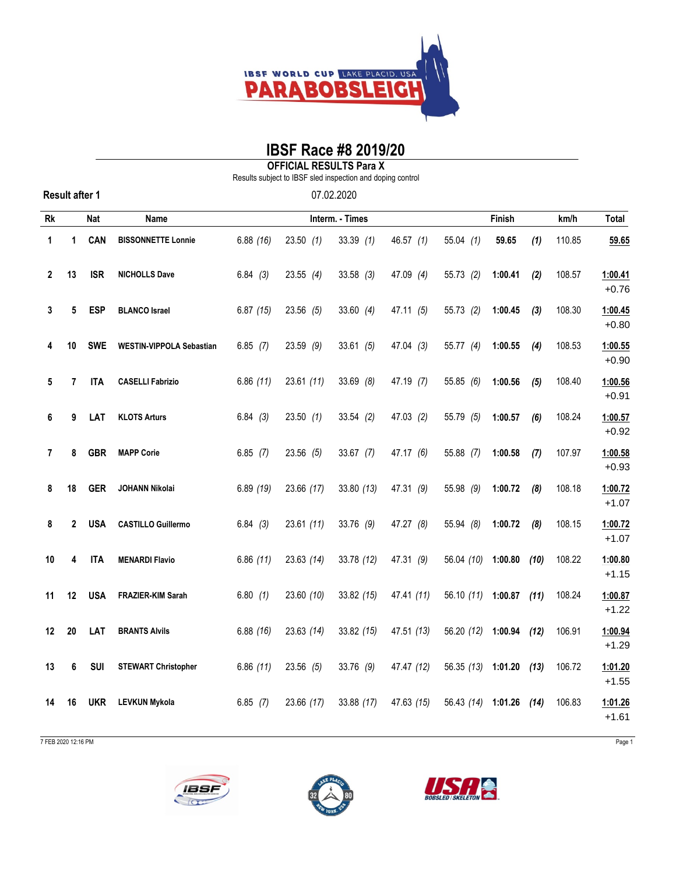

## **IBSF Race #8 2019/20**

**OFFICIAL RESULTS Para X**

Results subject to IBSF sled inspection and doping control

| 07.02.2020 |  |
|------------|--|
|------------|--|

| Rk                      |    | <b>Nat</b> | Name                            |            | Finish      |             |             | km/h                    | Total   |       |        |                    |
|-------------------------|----|------------|---------------------------------|------------|-------------|-------------|-------------|-------------------------|---------|-------|--------|--------------------|
| 1                       | 1  | <b>CAN</b> | <b>BISSONNETTE Lonnie</b>       | 6.88(16)   | 23.50(1)    | 33.39(1)    | 46.57 $(1)$ | 55.04(1)                | 59.65   | (1)   | 110.85 | 59.65              |
| $\mathbf 2$             | 13 | <b>ISR</b> | <b>NICHOLLS Dave</b>            | 6.84(3)    | $23.55$ (4) | $33.58$ (3) | 47.09 $(4)$ | 55.73(2)                | 1:00.41 | (2)   | 108.57 | 1:00.41<br>$+0.76$ |
| 3                       | 5  | <b>ESP</b> | <b>BLANCO Israel</b>            | 6.87(15)   | 23.56 (5)   | 33.60 $(4)$ | 47.11(5)    | 55.73(2)                | 1:00.45 | $(3)$ | 108.30 | 1:00.45<br>$+0.80$ |
| 4                       | 10 | <b>SWE</b> | <b>WESTIN-VIPPOLA Sebastian</b> | 6.85(7)    | $23.59$ (9) | 33.61(5)    | 47.04(3)    | 55.77 $(4)$             | 1:00.55 | (4)   | 108.53 | 1:00.55<br>$+0.90$ |
| 5                       | 7  | <b>ITA</b> | <b>CASELLI Fabrizio</b>         | 6.86(11)   | 23.61(11)   | 33.69(8)    | 47.19 (7)   | 55.85 (6)               | 1:00.56 | (5)   | 108.40 | 1:00.56<br>$+0.91$ |
| 6                       | 9  | LAT        | <b>KLOTS Arturs</b>             | 6.84(3)    | 23.50(1)    | 33.54(2)    | 47.03(2)    | 55.79 (5)               | 1:00.57 | (6)   | 108.24 | 1:00.57<br>$+0.92$ |
| $\overline{\mathbf{r}}$ | 8  | <b>GBR</b> | <b>MAPP Corie</b>               | $6.85$ (7) | 23.56(5)    | 33.67 (7)   | 47.17 (6)   | 55.88 (7)               | 1:00.58 | (7)   | 107.97 | 1:00.58<br>$+0.93$ |
| 8                       | 18 | <b>GER</b> | JOHANN Nikolai                  | 6.89(19)   | 23.66 (17)  | 33.80(13)   | 47.31 (9)   | 55.98 (9)               | 1:00.72 | (8)   | 108.18 | 1:00.72<br>$+1.07$ |
| 8                       | 2  | <b>USA</b> | <b>CASTILLO Guillermo</b>       | 6.84(3)    | 23.61(11)   | 33.76 (9)   | 47.27 (8)   | 55.94 (8)               | 1:00.72 | (8)   | 108.15 | 1:00.72<br>$+1.07$ |
| 10                      | 4  | <b>ITA</b> | <b>MENARDI Flavio</b>           | 6.86(11)   | 23.63(14)   | 33.78 (12)  | 47.31 (9)   | 56.04 (10)              | 1:00.80 | (10)  | 108.22 | 1:00.80<br>$+1.15$ |
| 11                      | 12 | <b>USA</b> | FRAZIER-KIM Sarah               | 6.80(1)    | 23.60 (10)  | 33.82 (15)  | 47.41 (11)  | 56.10 (11) 1:00.87 (11) |         |       | 108.24 | 1:00.87<br>$+1.22$ |
| 12                      | 20 | LAT        | <b>BRANTS Alvils</b>            | 6.88(16)   | 23.63 (14)  | 33.82 (15)  | 47.51 (13)  | 56.20 (12) 1:00.94      |         | (12)  | 106.91 | 1:00.94<br>$+1.29$ |
| 13                      | 6  | SUI        | <b>STEWART Christopher</b>      | 6.86(11)   | $23.56$ (5) | 33.76 (9)   | 47.47 (12)  | 56.35 (13) 1:01.20 (13) |         |       | 106.72 | 1:01.20<br>$+1.55$ |
| 14                      | 16 | <b>UKR</b> | <b>LEVKUN Mykola</b>            | 6.85(7)    | 23.66 (17)  | 33.88 (17)  | 47.63 (15)  | 56.43 (14) 1:01.26 (14) |         |       | 106.83 | 1:01.26<br>$+1.61$ |

7 FEB 2020 12:16 PM Page 1

**Result after 1**